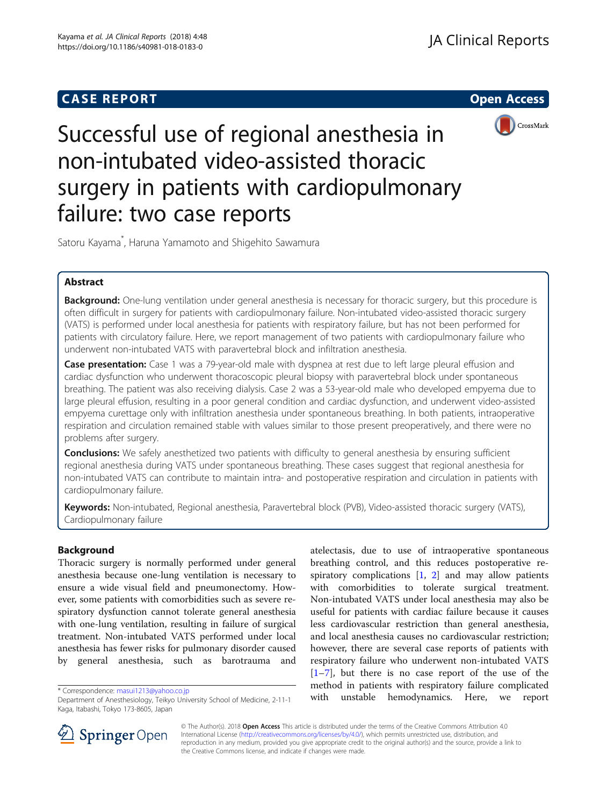# **CASE REPORT And SERVICE SERVICE SERVICE SERVICE SERVICE SERVICE SERVICE SERVICE SERVICE SERVICE SERVICE SERVICE**



Successful use of regional anesthesia in non-intubated video-assisted thoracic surgery in patients with cardiopulmonary failure: two case reports

Satoru Kayama\* , Haruna Yamamoto and Shigehito Sawamura

# Abstract

Background: One-lung ventilation under general anesthesia is necessary for thoracic surgery, but this procedure is often difficult in surgery for patients with cardiopulmonary failure. Non-intubated video-assisted thoracic surgery (VATS) is performed under local anesthesia for patients with respiratory failure, but has not been performed for patients with circulatory failure. Here, we report management of two patients with cardiopulmonary failure who underwent non-intubated VATS with paravertebral block and infiltration anesthesia.

Case presentation: Case 1 was a 79-year-old male with dyspnea at rest due to left large pleural effusion and cardiac dysfunction who underwent thoracoscopic pleural biopsy with paravertebral block under spontaneous breathing. The patient was also receiving dialysis. Case 2 was a 53-year-old male who developed empyema due to large pleural effusion, resulting in a poor general condition and cardiac dysfunction, and underwent video-assisted empyema curettage only with infiltration anesthesia under spontaneous breathing. In both patients, intraoperative respiration and circulation remained stable with values similar to those present preoperatively, and there were no problems after surgery.

**Conclusions:** We safely anesthetized two patients with difficulty to general anesthesia by ensuring sufficient regional anesthesia during VATS under spontaneous breathing. These cases suggest that regional anesthesia for non-intubated VATS can contribute to maintain intra- and postoperative respiration and circulation in patients with cardiopulmonary failure.

Keywords: Non-intubated, Regional anesthesia, Paravertebral block (PVB), Video-assisted thoracic surgery (VATS), Cardiopulmonary failure

# Background

Thoracic surgery is normally performed under general anesthesia because one-lung ventilation is necessary to ensure a wide visual field and pneumonectomy. However, some patients with comorbidities such as severe respiratory dysfunction cannot tolerate general anesthesia with one-lung ventilation, resulting in failure of surgical treatment. Non-intubated VATS performed under local anesthesia has fewer risks for pulmonary disorder caused by general anesthesia, such as barotrauma and

atelectasis, due to use of intraoperative spontaneous breathing control, and this reduces postoperative respiratory complications [\[1](#page-3-0), [2\]](#page-3-0) and may allow patients with comorbidities to tolerate surgical treatment. Non-intubated VATS under local anesthesia may also be useful for patients with cardiac failure because it causes less cardiovascular restriction than general anesthesia, and local anesthesia causes no cardiovascular restriction; however, there are several case reports of patients with respiratory failure who underwent non-intubated VATS  $[1–7]$  $[1–7]$  $[1–7]$  $[1–7]$ , but there is no case report of the use of the method in patients with respiratory failure complicated with unstable hemodynamics. Here, we report \* Correspondence: [masui1213@yahoo.co.jp](mailto:masui1213@yahoo.co.jp)



© The Author(s). 2018 Open Access This article is distributed under the terms of the Creative Commons Attribution 4.0 International License ([http://creativecommons.org/licenses/by/4.0/\)](http://creativecommons.org/licenses/by/4.0/), which permits unrestricted use, distribution, and reproduction in any medium, provided you give appropriate credit to the original author(s) and the source, provide a link to the Creative Commons license, and indicate if changes were made.

Department of Anesthesiology, Teikyo University School of Medicine, 2-11-1 Kaga, Itabashi, Tokyo 173-8605, Japan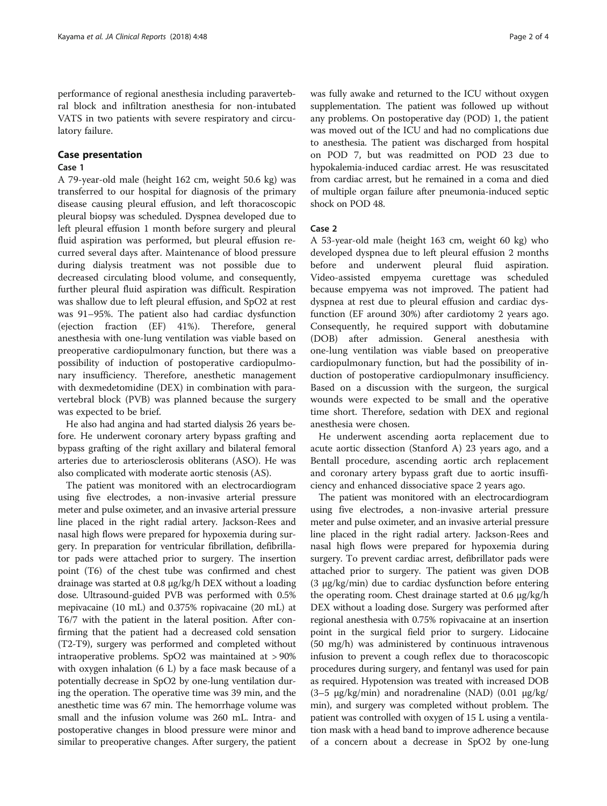performance of regional anesthesia including paravertebral block and infiltration anesthesia for non-intubated VATS in two patients with severe respiratory and circulatory failure.

### Case presentation

## Case 1

A 79-year-old male (height 162 cm, weight 50.6 kg) was transferred to our hospital for diagnosis of the primary disease causing pleural effusion, and left thoracoscopic pleural biopsy was scheduled. Dyspnea developed due to left pleural effusion 1 month before surgery and pleural fluid aspiration was performed, but pleural effusion recurred several days after. Maintenance of blood pressure during dialysis treatment was not possible due to decreased circulating blood volume, and consequently, further pleural fluid aspiration was difficult. Respiration was shallow due to left pleural effusion, and SpO2 at rest was 91–95%. The patient also had cardiac dysfunction (ejection fraction (EF) 41%). Therefore, general anesthesia with one-lung ventilation was viable based on preoperative cardiopulmonary function, but there was a possibility of induction of postoperative cardiopulmonary insufficiency. Therefore, anesthetic management with dexmedetomidine (DEX) in combination with paravertebral block (PVB) was planned because the surgery was expected to be brief.

He also had angina and had started dialysis 26 years before. He underwent coronary artery bypass grafting and bypass grafting of the right axillary and bilateral femoral arteries due to arteriosclerosis obliterans (ASO). He was also complicated with moderate aortic stenosis (AS).

The patient was monitored with an electrocardiogram using five electrodes, a non-invasive arterial pressure meter and pulse oximeter, and an invasive arterial pressure line placed in the right radial artery. Jackson-Rees and nasal high flows were prepared for hypoxemia during surgery. In preparation for ventricular fibrillation, defibrillator pads were attached prior to surgery. The insertion point (T6) of the chest tube was confirmed and chest drainage was started at 0.8 μg/kg/h DEX without a loading dose. Ultrasound-guided PVB was performed with 0.5% mepivacaine (10 mL) and 0.375% ropivacaine (20 mL) at T6/7 with the patient in the lateral position. After confirming that the patient had a decreased cold sensation (T2-T9), surgery was performed and completed without intraoperative problems. SpO2 was maintained at > 90% with oxygen inhalation (6 L) by a face mask because of a potentially decrease in SpO2 by one-lung ventilation during the operation. The operative time was 39 min, and the anesthetic time was 67 min. The hemorrhage volume was small and the infusion volume was 260 mL. Intra- and postoperative changes in blood pressure were minor and similar to preoperative changes. After surgery, the patient

was fully awake and returned to the ICU without oxygen supplementation. The patient was followed up without any problems. On postoperative day (POD) 1, the patient was moved out of the ICU and had no complications due to anesthesia. The patient was discharged from hospital on POD 7, but was readmitted on POD 23 due to hypokalemia-induced cardiac arrest. He was resuscitated from cardiac arrest, but he remained in a coma and died of multiple organ failure after pneumonia-induced septic shock on POD 48.

# Case 2

A 53-year-old male (height 163 cm, weight 60 kg) who developed dyspnea due to left pleural effusion 2 months before and underwent pleural fluid aspiration. Video-assisted empyema curettage was scheduled because empyema was not improved. The patient had dyspnea at rest due to pleural effusion and cardiac dysfunction (EF around 30%) after cardiotomy 2 years ago. Consequently, he required support with dobutamine (DOB) after admission. General anesthesia with one-lung ventilation was viable based on preoperative cardiopulmonary function, but had the possibility of induction of postoperative cardiopulmonary insufficiency. Based on a discussion with the surgeon, the surgical wounds were expected to be small and the operative time short. Therefore, sedation with DEX and regional anesthesia were chosen.

He underwent ascending aorta replacement due to acute aortic dissection (Stanford A) 23 years ago, and a Bentall procedure, ascending aortic arch replacement and coronary artery bypass graft due to aortic insufficiency and enhanced dissociative space 2 years ago.

The patient was monitored with an electrocardiogram using five electrodes, a non-invasive arterial pressure meter and pulse oximeter, and an invasive arterial pressure line placed in the right radial artery. Jackson-Rees and nasal high flows were prepared for hypoxemia during surgery. To prevent cardiac arrest, defibrillator pads were attached prior to surgery. The patient was given DOB (3 μg/kg/min) due to cardiac dysfunction before entering the operating room. Chest drainage started at 0.6 μg/kg/h DEX without a loading dose. Surgery was performed after regional anesthesia with 0.75% ropivacaine at an insertion point in the surgical field prior to surgery. Lidocaine (50 mg/h) was administered by continuous intravenous infusion to prevent a cough reflex due to thoracoscopic procedures during surgery, and fentanyl was used for pain as required. Hypotension was treated with increased DOB (3–5 μg/kg/min) and noradrenaline (NAD) (0.01 μg/kg/ min), and surgery was completed without problem. The patient was controlled with oxygen of 15 L using a ventilation mask with a head band to improve adherence because of a concern about a decrease in SpO2 by one-lung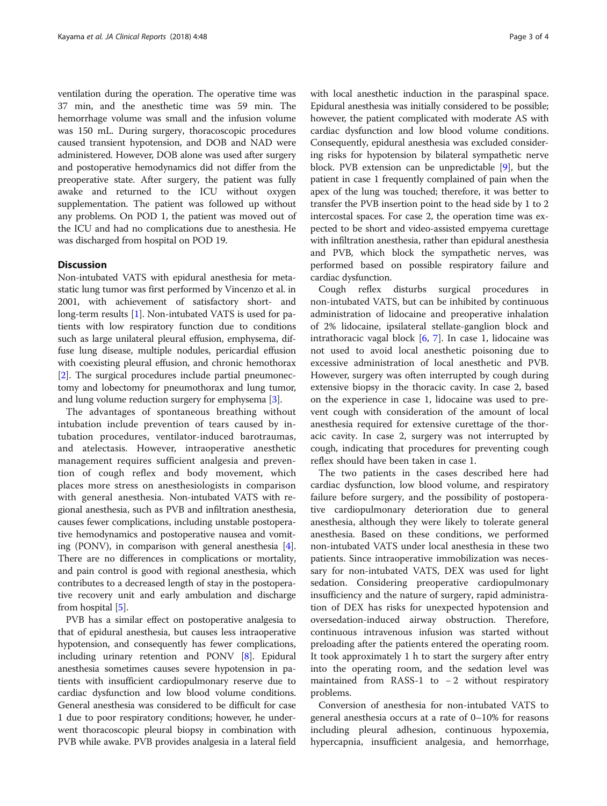ventilation during the operation. The operative time was 37 min, and the anesthetic time was 59 min. The hemorrhage volume was small and the infusion volume was 150 mL. During surgery, thoracoscopic procedures caused transient hypotension, and DOB and NAD were administered. However, DOB alone was used after surgery and postoperative hemodynamics did not differ from the preoperative state. After surgery, the patient was fully awake and returned to the ICU without oxygen supplementation. The patient was followed up without any problems. On POD 1, the patient was moved out of the ICU and had no complications due to anesthesia. He was discharged from hospital on POD 19.

# **Discussion**

Non-intubated VATS with epidural anesthesia for metastatic lung tumor was first performed by Vincenzo et al. in 2001, with achievement of satisfactory short- and long-term results [[1\]](#page-3-0). Non-intubated VATS is used for patients with low respiratory function due to conditions such as large unilateral pleural effusion, emphysema, diffuse lung disease, multiple nodules, pericardial effusion with coexisting pleural effusion, and chronic hemothorax [[2\]](#page-3-0). The surgical procedures include partial pneumonectomy and lobectomy for pneumothorax and lung tumor, and lung volume reduction surgery for emphysema [\[3\]](#page-3-0).

The advantages of spontaneous breathing without intubation include prevention of tears caused by intubation procedures, ventilator-induced barotraumas, and atelectasis. However, intraoperative anesthetic management requires sufficient analgesia and prevention of cough reflex and body movement, which places more stress on anesthesiologists in comparison with general anesthesia. Non-intubated VATS with regional anesthesia, such as PVB and infiltration anesthesia, causes fewer complications, including unstable postoperative hemodynamics and postoperative nausea and vomiting (PONV), in comparison with general anesthesia [[4](#page-3-0)]. There are no differences in complications or mortality, and pain control is good with regional anesthesia, which contributes to a decreased length of stay in the postoperative recovery unit and early ambulation and discharge from hospital [\[5\]](#page-3-0).

PVB has a similar effect on postoperative analgesia to that of epidural anesthesia, but causes less intraoperative hypotension, and consequently has fewer complications, including urinary retention and PONV [[8\]](#page-3-0). Epidural anesthesia sometimes causes severe hypotension in patients with insufficient cardiopulmonary reserve due to cardiac dysfunction and low blood volume conditions. General anesthesia was considered to be difficult for case 1 due to poor respiratory conditions; however, he underwent thoracoscopic pleural biopsy in combination with PVB while awake. PVB provides analgesia in a lateral field with local anesthetic induction in the paraspinal space. Epidural anesthesia was initially considered to be possible; however, the patient complicated with moderate AS with cardiac dysfunction and low blood volume conditions. Consequently, epidural anesthesia was excluded considering risks for hypotension by bilateral sympathetic nerve block. PVB extension can be unpredictable [\[9](#page-3-0)], but the patient in case 1 frequently complained of pain when the apex of the lung was touched; therefore, it was better to transfer the PVB insertion point to the head side by 1 to 2 intercostal spaces. For case 2, the operation time was expected to be short and video-assisted empyema curettage with infiltration anesthesia, rather than epidural anesthesia and PVB, which block the sympathetic nerves, was performed based on possible respiratory failure and cardiac dysfunction.

Cough reflex disturbs surgical procedures in non-intubated VATS, but can be inhibited by continuous administration of lidocaine and preoperative inhalation of 2% lidocaine, ipsilateral stellate-ganglion block and intrathoracic vagal block [\[6](#page-3-0), [7\]](#page-3-0). In case 1, lidocaine was not used to avoid local anesthetic poisoning due to excessive administration of local anesthetic and PVB. However, surgery was often interrupted by cough during extensive biopsy in the thoracic cavity. In case 2, based on the experience in case 1, lidocaine was used to prevent cough with consideration of the amount of local anesthesia required for extensive curettage of the thoracic cavity. In case 2, surgery was not interrupted by cough, indicating that procedures for preventing cough reflex should have been taken in case 1.

The two patients in the cases described here had cardiac dysfunction, low blood volume, and respiratory failure before surgery, and the possibility of postoperative cardiopulmonary deterioration due to general anesthesia, although they were likely to tolerate general anesthesia. Based on these conditions, we performed non-intubated VATS under local anesthesia in these two patients. Since intraoperative immobilization was necessary for non-intubated VATS, DEX was used for light sedation. Considering preoperative cardiopulmonary insufficiency and the nature of surgery, rapid administration of DEX has risks for unexpected hypotension and oversedation-induced airway obstruction. Therefore, continuous intravenous infusion was started without preloading after the patients entered the operating room. It took approximately 1 h to start the surgery after entry into the operating room, and the sedation level was maintained from RASS-1 to − 2 without respiratory problems.

Conversion of anesthesia for non-intubated VATS to general anesthesia occurs at a rate of 0–10% for reasons including pleural adhesion, continuous hypoxemia, hypercapnia, insufficient analgesia, and hemorrhage,